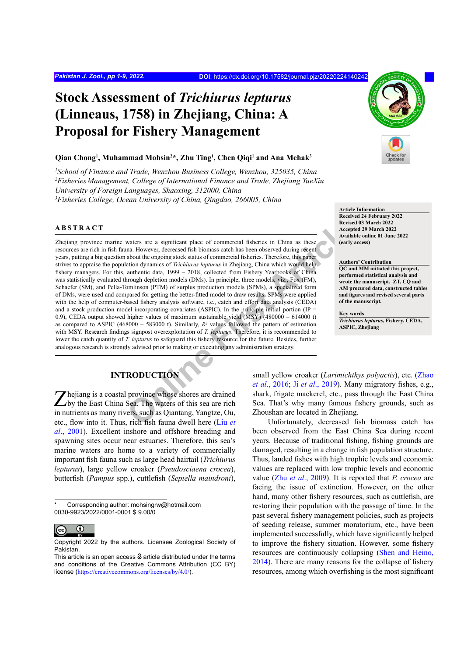# **Stock Assessment of** *Trichiurus lepturus* **(Linneaus, 1758) in Zhejiang, China: A Proposal for Fishery Management**

#### **Qian Chong1 , Muhammad Mohsin2 \*, Zhu Ting1 , Chen Qiqi1 and Ana Mehak3**

 *School of Finance and Trade, Wenzhou Business College, Wenzhou, 325035, China Fisheries Management, College of International Finance and Trade, Zhejiang YueXiu University of Foreign Languages, Shaoxing, 312000, China Fisheries College, Ocean University of China, Qingdao, 266005, China*

## **ABSTRACT**

waters are a significant place of commercial fisheries in China as these<br>
Arcention and However, decreased fish biomass catch has been observed during recent<br>
about the ongoing stock status of commercial fisheries. Therefo Zhejiang province marine waters are a significant place of commercial fisheries in China as these resources are rich in fish fauna. However, decreased fish biomass catch has been observed during recent years, putting a big question about the ongoing stock status of commercial fisheries. Therefore, this paper strives to appraise the population dynamics of *Trichiurus lepturus* in Zhejiang, China which would help fishery managers. For this, authentic data, 1999 – 2018, collected from Fishery Yearbooks of China was statistically evaluated through depletion models (DMs). In principle, three models, viz., Fox (FM), Schaefer (SM), and Pella-Tomlinson (PTM) of surplus production models (SPMs), a specialized form of DMs, were used and compared for getting the better-fitted model to draw results. SPMs were applied with the help of computer-based fishery analysis software, i.e., catch and effort data analysis (CEDA) and a stock production model incorporating covariates (ASPIC). In the principle initial portion (IP = 0.9), CEDA output showed higher values of maximum sustainable yield (MSY) (480000 – 614000 t) as compared to ASPIC  $(468000 - 583000)$ . Similarly,  $R^2$  values followed the pattern of estimation with MSY. Research findings signpost overexploitation of *T. lepturus*. Therefore, it is recommended to lower the catch quantity of *T. lepturus* to safeguard this fishery resource for the future. Besides, further analogous research is strongly advised prior to making or executing any administration strategy.

# **INTRODUCTION**

hejiang is a coastal province whose shores are drained L by the East China Sea. The waters of this sea are rich in nutrients as many rivers, such as Qiantang, Yangtze, Ou, etc., flow into it. Thus, rich fish fauna dwell here (Liu *et al*[., 2001\)](#page-7-0). Excellent inshore and offshore breading and spawning sites occur near estuaries. Therefore, this sea's marine waters are home to a variety of commercially important fish fauna such as large head hairtail (*Trichiurus lepturus*), large yellow croaker (*Pseudosciaena crocea*), butterfish (*Pampus* spp.), cuttlefish (*Sepiella maindroni*),

Corresponding author: mohsingrw@hotmail.com 0030-9923/2022/0001-0001 \$ 9.00/0



Copyright 2022 by the authors. Licensee Zoological Society of Pakistan.



**Article Information Received 24 February 2022 Revised 03 March 2022 Accepted 29 March 2022 Available online 01 June 2022 (early access)**

#### **Authors' Contribution**

**QC and MM initiated this project, performed statistical analysis and wrote the manuscript. ZT, CQ and AM procured data, constructed tables and figures and revised several parts of the manuscript.**

**Key words** *Trichiurus lepturus***, Fishery, CEDA, ASPIC, Zhejiang**

small yellow croaker (*Larimichthys polyactis*), etc. ([Zhao](#page-8-0) *et al*., 2016; Ji *et al*., 2019). Many migratory fishes, e.g., shark, frigate mackerel, etc., pass through the East China Sea. That's why many famous fishery grounds, such as Zhoushan are located in Zhejiang.

Unfortunately, decreased fish biomass catch has been observed from the East China Sea during recent years. Because of traditional fishing, fishing grounds are damaged, resulting in a change in fish population structure. Thus, landed fishes with high trophic levels and economic values are replaced with low trophic levels and economic value (Zhu *et al*[., 2009\)](#page-8-1). It is reported that *P. crocea* are facing the issue of extinction. However, on the other hand, many other fishery resources, such as cuttlefish, are restoring their population with the passage of time. In the past several fishery management policies, such as projects of seeding release, summer moratorium, etc., have been implemented successfully, which have significantly helped to improve the fishery situation. However, some fishery resources are continuously collapsing ([Shen and Heino,](#page-8-2) [2014\)](#page-8-2). There are many reasons for the collapse of fishery resources, among which overfishing is the most significant

This article is an open access  $\Theta$  article distributed under the terms and conditions of the Creative Commons Attribution (CC BY) license (<https://creativecommons.org/licenses/by/4.0/>).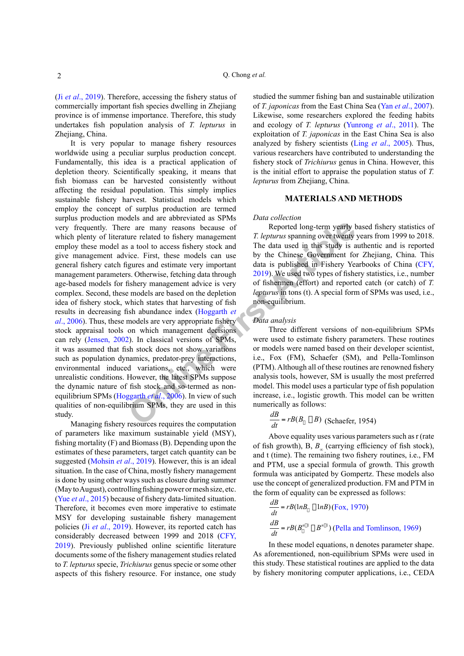(Ji *et al*[., 2019](#page-7-1)). Therefore, accessing the fishery status of commercially important fish species dwelling in Zhejiang province is of immense importance. Therefore, this study undertakes fish population analysis of *T. lepturus* in Zhejiang, China.

**Example 18** and existing the diffe[r](#page-7-2)ent verified and setting the consistence of the methanology of twenty is a tool to access fishery stock and The data used in this study is a rice. First, these models can use by the Chi It is very popular to manage fishery resources worldwide using a peculiar surplus production concept. Fundamentally, this idea is a practical application of depletion theory. Scientifically speaking, it means that fish biomass can be harvested consistently without affecting the residual population. This simply implies sustainable fishery harvest. Statistical models which employ the concept of surplus production are termed surplus production models and are abbreviated as SPMs very frequently. There are many reasons because of which plenty of literature related to fishery management employ these model as a tool to access fishery stock and give management advice. First, these models can use general fishery catch figures and estimate very important management parameters. Otherwise, fetching data through age-based models for fishery management advice is very complex. Second, these models are based on the depletion idea of fishery stock, which states that harvesting of fish results in decreasing fish abundance index (Hoggarth *et al*[., 2006\)](#page-7-2). Thus, these models are very appropriate fishery stock appraisal tools on which management decisions can rely [\(Jensen, 2002\)](#page-7-3). In classical versions of SPMs, it was assumed that fish stock does not show variations such as population dynamics, predator-prey interactions, environmental induced variations, etc., which were unrealistic conditions. However, the latest SPMs suppose the dynamic nature of fish stock and so-termed as nonequilibrium SPMs (Hoggarth *et al*., 2006). In view of such qualities of non-equilibrium SPMs, they are used in this study.

Managing fishery resources requires the computation of parameters like maximum sustainable yield (MSY), fishing mortality (F) and Biomass (B). Depending upon the estimates of these parameters, target catch quantity can be suggested [\(Mohsin](#page-7-4) *et al*., 2019). However, this is an ideal situation. In the case of China, mostly fishery management is done by using other ways such as closure during summer (May to August), controlling fishing power or mesh size, etc. (Yue *et al*[., 2015](#page-8-3)) because of fishery data-limited situation. Therefore, it becomes even more imperative to estimate MSY for developing sustainable fishery management policies (Ji *et al*[., 2019\)](#page-7-1). However, its reported catch has considerably decreased between 1999 and 2018 [\(CFY,](#page-7-5) [2019\)](#page-7-5). Previously published online scientific literature documents some of the fishery management studies related to *T. lepturus* specie, *Trichiurus* genus specie or some other aspects of this fishery resource. For instance, one study studied the summer fishing ban and sustainable utilization of *T. japonicas* from the East China Sea (Yan *et al*[., 2007](#page-8-4)). Likewise, some researchers explored the feeding habits and ecology of *T. lepturus* [\(Yunrong](#page-8-5) *et al*., 2011). The exploitation of *T. japonicas* in the East China Sea is also analyzed by fishery scientists (Ling *et al*[., 2005\)](#page-7-6). Thus, various researchers have contributed to understanding the fishery stock of *Trichiurus* genus in China. However, this is the initial effort to appraise the population status of *T. lepturus* from Zhejiang, China.

#### **MATERIALS AND METHODS**

## *Data collection*

Reported long-term yearly based fishery statistics of *T. lepturus* spanning over twenty years from 1999 to 2018. The data used in this study is authentic and is reported by the Chinese Government for Zhejiang, China. This data is published in Fishery Yearbooks of China ([CFY,](#page-7-5) 2019). We used two types of fishery statistics, i.e., number of fishermen (effort) and reported catch (or catch) of *T. lepturus* in tons (t). A special form of SPMs was used, i.e., non-equilibrium.

#### *Data analysis*

Three different versions of non-equilibrium SPMs were used to estimate fishery parameters. These routines or models were named based on their developer scientist, i.e., Fox (FM), Schaefer (SM), and Pella-Tomlinson (PTM). Although all of these routines are renowned fishery analysis tools, however, SM is usually the most preferred model. This model uses a particular type of fish population increase, i.e., logistic growth. This model can be written numerically as follows:

$$
\frac{dB}{dt} = rB(B_{\parallel} \Box B) \text{ (Schaeder, 1954)}
$$

Above equality uses various parameters such as r (rate of fish growth), B, *B∞* (carrying efficiency of fish stock), and t (time). The remaining two fishery routines, i.e., FM and PTM, use a special formula of growth. This growth formula was anticipated by Gompertz. These models also use the concept of generalized production. FM and PTM in the form of equality can be expressed as follows:

$$
\frac{dB}{dt} = rB(lnB_{\parallel} \Box lnB) \text{ (Fox, 1970)}
$$
\n
$$
\frac{dB}{dt} = rB(B_{\parallel}^{n[\Box]} \Box B^{n[\Box]}) \text{ (Pella and Tomlinson, 1969)}
$$

In these model equations, n denotes parameter shape. As aforementioned, non-equilibrium SPMs were used in this study. These statistical routines are applied to the data by fishery monitoring computer applications, i.e., CEDA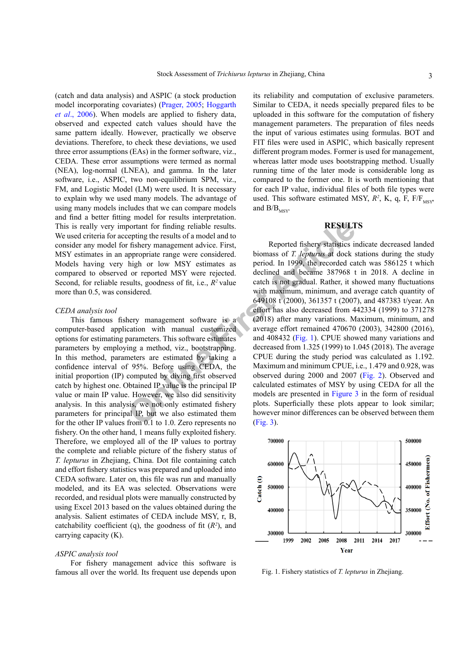(catch and data analysis) and ASPIC (a stock production model incorporating covariates) [\(Prager, 2005](#page-7-9); [Hoggarth](#page-7-2) *et al*[., 2006](#page-7-2)). When models are applied to fishery data, observed and expected catch values should have the same pattern ideally. However, practically we observe deviations. Therefore, to check these deviations, we used three error assumptions (EAs) in the former software, viz., CEDA. These error assumptions were termed as normal (NEA), log-normal (LNEA), and gamma. In the later software, i.e., ASPIC, two non-equilibrium SPM, viz., FM, and Logistic Model (LM) were used. It is necessary to explain why we used many models. The advantage of using many models includes that we can compare models and find a better fitting model for results interpretation. This is really very important for finding reliable results. We used criteria for accepting the results of a model and to consider any model for fishery management advice. First, MSY estimates in an appropriate range were considered. Models having very high or low MSY estimates as compared to observed or reported MSY were rejected. Second, for reliable results, goodness of fit, i.e., *R2* value more than 0.5, was considered.

## *CEDA analysis tool*

This famous fishery management software is a computer-based application with manual customized options for estimating parameters. This software estimates parameters by employing a method, viz., bootstrapping. In this method, parameters are estimated by taking a confidence interval of 95%. Before using CEDA, the initial proportion (IP) computed by diving first observed catch by highest one. Obtained IP value is the principal IP value or main IP value. However, we also did sensitivity analysis. In this analysis, we not only estimated fishery parameters for principal IP, but we also estimated them for the other IP values from 0.1 to 1.0. Zero represents no fishery. On the other hand, 1 means fully exploited fishery. Therefore, we employed all of the IP values to portray the complete and reliable picture of the fishery status of *T. lepturus* in Zhejiang, China. Dot file containing catch and effort fishery statistics was prepared and uploaded into CEDA software. Later on, this file was run and manually modeled, and its EA was selected. Observations were recorded, and residual plots were manually constructed by using Excel 2013 based on the values obtained during the analysis. Salient estimates of CEDA include MSY, r, B, catchability coefficient (q), the goodness of fit  $(R^2)$ , and carrying capacity (K).

#### *ASPIC analysis tool*

For fishery management advice this software is famous all over the world. Its frequent use depends upon

its reliability and computation of exclusive parameters. Similar to CEDA, it needs specially prepared files to be uploaded in this software for the computation of fishery management parameters. The preparation of files needs the input of various estimates using formulas. BOT and FIT files were used in ASPIC, which basically represent different program modes. Former is used for management, whereas latter mode uses bootstrapping method. Usually running time of the later mode is considerable long as compared to the former one. It is worth mentioning that for each IP value, individual files of both file types were used. This software estimated MSY,  $R^2$ , K, q, F,  $F/F_{MSY}$ and  $\rm\,B/B_{\rm MSY}$ 

# **RESULTS**

Frontine Tender of the process are entired the proof of the proof of the properties are propertient angular propertient angular by the beach is high or low MSY estimates as period. In 1999, the recorded can be high or low Reported fishery statistics indicate decreased landed biomass of *T. lepturus* at dock stations during the study period. In 1999, the recorded catch was 586125 t which declined and became 387968 t in 2018. A decline in catch is not gradual. Rather, it showed many fluctuations with maximum, minimum, and average catch quantity of 649108 t (2000), 361357 t (2007), and 487383 t/year. An effort has also decreased from 442334 (1999) to 371278 (2018) after many variations. Maximum, minimum, and average effort remained 470670 (2003), 342800 (2016), and 408432 (Fig. 1). CPUE showed many variations and decreased from 1.325 (1999) to 1.045 (2018). The average CPUE during the study period was calculated as 1.192. Maximum and minimum CPUE, i.e., 1.479 and 0.928, was observed during 2000 and 2007 [\(Fig. 2](#page-3-0)). Observed and calculated estimates of MSY by using CEDA for all the models are presented in Figure 3 in the form of residual plots. Superficially these plots appear to look similar; however minor differences can be observed between them (Fig. 3).



<span id="page-2-0"></span>Fig. 1. Fishery statistics of *T. lepturus* in Zhejiang.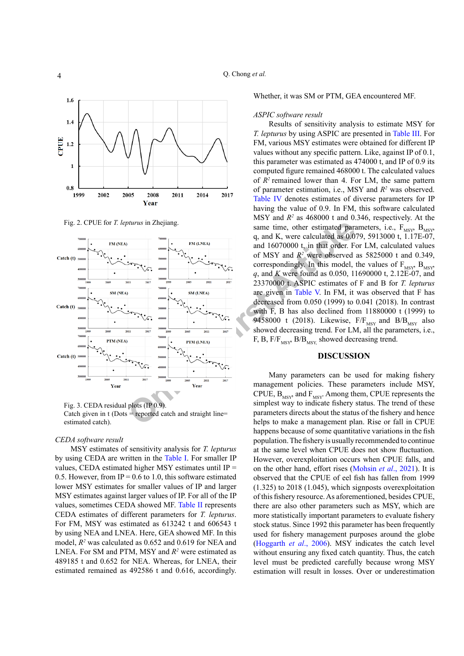

<span id="page-3-0"></span>Fig. 2. CPUE for *T. lepturus* in Zhejiang.



<span id="page-3-1"></span>Fig. 3. CEDA residual plots (IP 0.9). Catch given in  $t$  (Dots = reported catch and straight line= estimated catch).

#### *CEDA software result*

MSY estimates of sensitivity analysis for *T. lepturus* by using CEDA are written in the [Table I.](#page-4-0) For smaller IP values, CEDA estimated higher MSY estimates until IP = 0.5. However, from IP =  $0.6$  to 1.0, this software estimated lower MSY estimates for smaller values of IP and larger MSY estimates against larger values of IP. For all of the IP values, sometimes CEDA showed MF. [Table II](#page-4-1) represents CEDA estimates of different parameters for *T. lepturus*. For FM, MSY was estimated as 613242 t and 606543 t by using NEA and LNEA. Here, GEA showed MF. In this model, *R2* was calculated as 0.652 and 0.619 for NEA and LNEA. For SM and PTM, MSY and  $R^2$  were estimated as 489185 t and 0.652 for NEA. Whereas, for LNEA, their estimated remained as 492586 t and 0.616, accordingly.

Whether, it was SM or PTM, GEA encountered MF.

#### *ASPIC software result*

Results of sensitivity analysis to estimate MSY for *T. lepturus* by using ASPIC are presented in [Table III.](#page-5-0) For FM, various MSY estimates were obtained for different IP values without any specific pattern. Like, against IP of 0.1, this parameter was estimated as 474000 t, and IP of 0.9 its computed figure remained 468000 t. The calculated values of *R2* remained lower than 4. For LM, the same pattern of parameter estimation, i.e., MSY and *R2* was observed. [Table IV](#page-5-1) denotes estimates of diverse parameters for IP having the value of 0.9. In FM, this software calculated MSY and  $R^2$  as 468000 t and 0.346, respectively. At the same time, other estimated parameters, i.e.,  $F_{MSY}$ ,  $B_{MSY}$ q, and K, were calculated as 0.079, 5913000 t, 1.17E-07, and 16070000 t, in that order. For LM, calculated values of MSY and  $R^2$  were observed as 5825000 t and 0.349, correspondingly. In this model, the values of  $F_{MSY}$ ,  $B_{MSY}$ *q*, and *K* were found as 0.050, 11690000 t, 2.12E-07, and 23370000 t. ASPIC estimates of F and B for *T. lepturus* are given in Table V. In FM, it was observed that F has decreased from 0.050 (1999) to 0.041 (2018). In contrast with F, B has also declined from 11880000 t (1999) to 9458000 t (2018). Likewise,  $F/F_{MSY}$  and  $B/B_{MSY}$  also showed decreasing trend. For LM, all the parameters, i.e., F, B, F/ $F_{MSY}$  B/B<sub>MSY</sub> showed decreasing trend.

# **DISCUSSION**

Many parameters can be used for making fishery management policies. These parameters include MSY, CPUE,  $B_{MSY}$  and  $F_{MSY}$ . Among them, CPUE represents the simplest way to indicate fishery status. The trend of these parameters directs about the status of the fishery and hence helps to make a management plan. Rise or fall in CPUE happens because of some quantitative variations in the fish population. The fishery is usually recommended to continue at the same level when CPUE does not show fluctuation. However, overexploitation occurs when CPUE falls, and on the other hand, effort rises ([Mohsin](#page-7-10) *et al*., 2021). It is observed that the CPUE of eel fish has fallen from 1999 (1.325) to 2018 (1.045), which signposts overexploitation of this fishery resource. As aforementioned, besides CPUE, there are also other parameters such as MSY, which are more statistically important parameters to evaluate fishery stock status. Since 1992 this parameter has been frequently used for fishery management purposes around the globe [\(Hoggarth](#page-7-2) *et al*., 2006). MSY indicates the catch level without ensuring any fixed catch quantity. Thus, the catch level must be predicted carefully because wrong MSY estimation will result in losses. Over or underestimation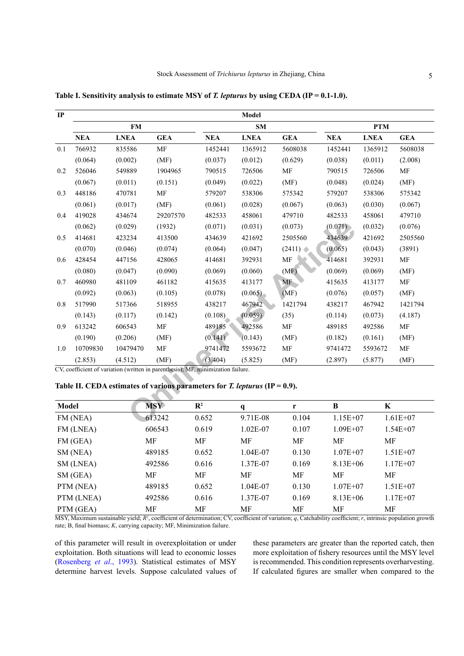| IP           |                                                                               |             |            |                                                                                  | Model        |                     |            |             |              |  |
|--------------|-------------------------------------------------------------------------------|-------------|------------|----------------------------------------------------------------------------------|--------------|---------------------|------------|-------------|--------------|--|
|              |                                                                               | <b>FM</b>   |            |                                                                                  | <b>SM</b>    |                     |            | <b>PTM</b>  |              |  |
|              | <b>NEA</b>                                                                    | <b>LNEA</b> | <b>GEA</b> | <b>NEA</b>                                                                       | <b>LNEA</b>  | <b>GEA</b>          | <b>NEA</b> | <b>LNEA</b> | <b>GEA</b>   |  |
| 0.1          | 766932                                                                        | 835586      | MF         | 1452441                                                                          | 1365912      | 5608038             | 1452441    | 1365912     | 5608038      |  |
|              | (0.064)                                                                       | (0.002)     | (MF)       | (0.037)                                                                          | (0.012)      | (0.629)             | (0.038)    | (0.011)     | (2.008)      |  |
| 0.2          | 526046                                                                        | 549889      | 1904965    | 790515                                                                           | 726506       | MF                  | 790515     | 726506      | MF           |  |
|              | (0.067)                                                                       | (0.011)     | (0.151)    | (0.049)                                                                          | (0.022)      | (MF)                | (0.048)    | (0.024)     | (MF)         |  |
| 0.3          | 448186                                                                        | 470781      | <b>MF</b>  | 579207                                                                           | 538306       | 575342              | 579207     | 538306      | 575342       |  |
|              | (0.061)                                                                       | (0.017)     | (MF)       | (0.061)                                                                          | (0.028)      | (0.067)             | (0.063)    | (0.030)     | (0.067)      |  |
| 0.4          | 419028                                                                        | 434674      | 29207570   | 482533                                                                           | 458061       | 479710              | 482533     | 458061      | 479710       |  |
|              | (0.062)                                                                       | (0.029)     | (1932)     | (0.071)                                                                          | (0.031)      | (0.073)             | (0.071)    | (0.032)     | (0.076)      |  |
| 0.5          | 414681                                                                        | 423234      | 413500     | 434639                                                                           | 421692       | 2505560             | 434639     | 421692      | 2505560      |  |
|              | (0.070)                                                                       | (0.046)     | (0.074)    | (0.064)                                                                          | (0.047)      | (2411)              | (0.065)    | (0.043)     | (3891)       |  |
| 0.6          | 428454                                                                        | 447156      | 428065     | 414681                                                                           | 392931       | $\operatorname{MF}$ | 414681     | 392931      | MF           |  |
|              | (0.080)                                                                       | (0.047)     | (0.090)    | (0.069)                                                                          | (0.060)      | (MF)                | (0.069)    | (0.069)     | (MF)         |  |
| 0.7          | 460980                                                                        | 481109      | 461182     | 415635                                                                           | 413177       | MF                  | 415635     | 413177      | MF           |  |
|              | (0.092)                                                                       | (0.063)     | (0.105)    | (0.078)                                                                          | (0.065)      | (MF)                | (0.076)    | (0.057)     | (MF)         |  |
| 0.8          | 517990                                                                        | 517366      | 518955     | 438217                                                                           | 467942       | 1421794             | 438217     | 467942      | 1421794      |  |
|              | (0.143)                                                                       | (0.117)     | (0.142)    | (0.108)                                                                          | (0.059)      | (35)                | (0.114)    | (0.073)     | (4.187)      |  |
| 0.9          | 613242                                                                        | 606543      | MF         | 489185                                                                           | 492586       | MF                  | 489185     | 492586      | MF           |  |
|              | (0.190)                                                                       | (0.206)     | (MF)       | (0.141)                                                                          | (0.143)      | (MF)                | (0.182)    | (0.161)     | (MF)         |  |
| 1.0          | 10709830                                                                      | 10479470    | <b>MF</b>  | 9741472                                                                          | 5593672      | <b>MF</b>           | 9741472    | 5593672     | MF           |  |
|              | (2.853)                                                                       | (4.512)     | (MF)       | (3.404)                                                                          | (5.825)      | (MF)                | (2.897)    | (5.877)     | (MF)         |  |
|              |                                                                               |             |            | CV, coefficient of variation (written in parenthesis); MF, minimization failure. |              |                     |            |             |              |  |
|              | Table II. CEDA estimates of various parameters for T. lepturus (IP = $0.9$ ). |             |            |                                                                                  |              |                     |            |             |              |  |
|              |                                                                               |             |            |                                                                                  |              |                     |            |             |              |  |
| <b>Model</b> |                                                                               |             | <b>MSY</b> | $\mathbb{R}^2$                                                                   | $\mathbf{q}$ | $\mathbf{r}$        | $\bf{B}$   | $\mathbf K$ |              |  |
| FM (NEA)     |                                                                               |             | 613242     | 0.652                                                                            | 9.71E-08     | 0.104               | 1.15E+07   |             | $1.61E + 07$ |  |

<span id="page-4-0"></span>Table I. Sensitivity analysis to estimate MSY of *T. lepturus* by using CEDA (IP = 0.1-1.0).

<span id="page-4-1"></span>**Table II. CEDA estimates of various parameters for** *T. lepturus* **(IP = 0.9).**

| Model      | MSY    | $\mathbf{R}^2$ | q          | r     | B            | K            |
|------------|--------|----------------|------------|-------|--------------|--------------|
| FM (NEA)   | 613242 | 0.652          | 9.71E-08   | 0.104 | $1.15E + 07$ | $1.61E + 07$ |
| FM (LNEA)  | 606543 | 0.619          | $1.02E-07$ | 0.107 | $1.09E + 07$ | $1.54E + 07$ |
| FM (GEA)   | МF     | МF             | MF         | MF    | MF           | МF           |
| SM (NEA)   | 489185 | 0.652          | 1.04E-07   | 0.130 | $1.07E + 07$ | $1.51E + 07$ |
| SM (LNEA)  | 492586 | 0.616          | 1.37E-07   | 0.169 | $8.13E + 06$ | $1.17E + 07$ |
| SM(GEA)    | MF     | МF             | MF         | МF    | MF           | MF           |
| PTM (NEA)  | 489185 | 0.652          | 1.04E-07   | 0.130 | $1.07E + 07$ | $1.51E+07$   |
| PTM (LNEA) | 492586 | 0.616          | 1.37E-07   | 0.169 | $8.13E + 06$ | $1.17E + 07$ |
| PTM (GEA)  | MF     | MF             | МF         | МF    | МF           | МF           |

MSY, Maximum sustainable yield;  $R^2$ , coefficient of determination; CV, coefficient of variation; *q*, Catchability coefficient; *r*, intrinsic population growth rate; B, final biomass; *K*, carrying capacity; MF, Minimization failure.

of this parameter will result in overexploitation or under exploitation. Both situations will lead to economic losses [\(Rosenberg](#page-8-6) *et al*., 1993). Statistical estimates of MSY determine harvest levels. Suppose calculated values of

these parameters are greater than the reported catch, then more exploitation of fishery resources until the MSY level is recommended. This condition represents overharvesting. If calculated figures are smaller when compared to the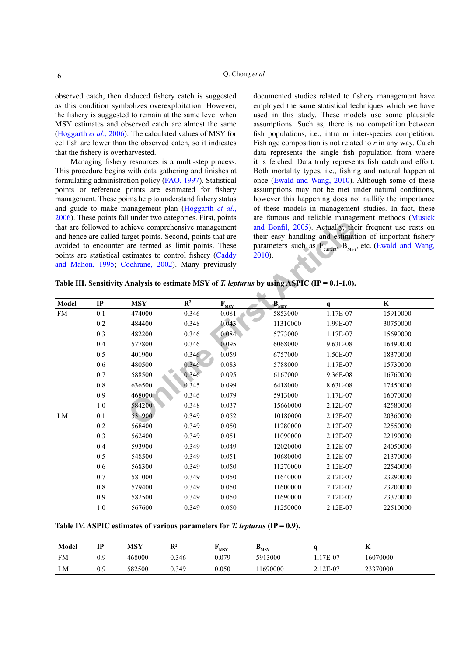observed catch, then deduced fishery catch is suggested as this condition symbolizes overexploitation. However, the fishery is suggested to remain at the same level when MSY estimates and observed catch are almost the same [\(Hoggarth](#page-7-2) *et al*., 2006). The calculated values of MSY for eel fish are lower than the observed catch, so it indicates that the fishery is overharvested.

Managing fishery resources is a multi-step process. This procedure begins with data gathering and finishes at formulating administration policy [\(FAO, 1997\)](#page-7-11). Statistical points or reference points are estimated for fishery management. These points help to understand fishery status and guide to make management plan [\(Hoggarth](#page-7-2) *et al*., [2006\)](#page-7-2). These points fall under two categories. First, points that are followed to achieve comprehensive management and hence are called target points. Second, points that are avoided to encounter are termed as limit points. These points are statistical estimates to control fishery (Caddy [and Mahon, 1995](#page-7-12); Cochrane, 2002). Many previously

documented studies related to fishery management have employed the same statistical techniques which we have used in this study. These models use some plausible assumptions. Such as, there is no competition between fish populations, i.e., intra or inter-species competition. Fish age composition is not related to *r* in any way. Catch data represents the single fish population from where it is fetched. Data truly represents fish catch and effort. Both mortality types, i.e., fishing and natural happen at once [\(Ewald and Wang, 2010\)](#page-7-14). Although some of these assumptions may not be met under natural conditions, however this happening does not nullify the importance of these models in management studies. In fact, these are famous and reliable management methods ([Musick](#page-7-15)  and Bonfil, 2005). Actually, their frequent use rests on their easy handling and estimation of important fishery parameters such as  $F_{\text{current}}$ ,  $B_{\text{MSY}}$ , etc. (Ewald and Wang, 2010).

<span id="page-5-0"></span>

|  | Table III. Sensitivity Analysis to estimate MSY of T. lepturus by using ASPIC (IP = $0.1$ -1.0). |  |  |  |
|--|--------------------------------------------------------------------------------------------------|--|--|--|
|  |                                                                                                  |  |  |  |

|           |         | that are followed to achieve comprehensive management<br>and hence are called target points. Second, points that are<br>avoided to encounter are termed as limit points. These<br>points are statistical estimates to control fishery (Caddy<br>and Mahon, 1995; Cochrane, 2002). Many previously |                |                                               | $2010$ ).<br>Table III. Sensitivity Analysis to estimate MSY of T. lepturus by using ASPIC (IP = $0.1-1.0$ ). |              | and Bonfil, 2005). Actually, their frequent use rests on<br>their easy handling and estimation of important fishery<br>parameters such as F <sub>current</sub> , B <sub>MSY</sub> etc. (Ewald and Wang, |
|-----------|---------|---------------------------------------------------------------------------------------------------------------------------------------------------------------------------------------------------------------------------------------------------------------------------------------------------|----------------|-----------------------------------------------|---------------------------------------------------------------------------------------------------------------|--------------|---------------------------------------------------------------------------------------------------------------------------------------------------------------------------------------------------------|
| Model     | IP      | <b>MSY</b>                                                                                                                                                                                                                                                                                        | $\mathbf{R}^2$ | $\mathbf{F}_{\mathbf{M}\mathbf{S}\mathbf{Y}}$ | $\mathbf{B}_{\text{MSY}}$                                                                                     | $\mathbf{q}$ | $\bf K$                                                                                                                                                                                                 |
| <b>FM</b> | 0.1     | 474000                                                                                                                                                                                                                                                                                            | 0.346          | 0.081                                         | 5853000                                                                                                       | 1.17E-07     | 15910000                                                                                                                                                                                                |
|           | 0.2     | 484400                                                                                                                                                                                                                                                                                            | 0.348          | 0.043                                         | 11310000                                                                                                      | 1.99E-07     | 30750000                                                                                                                                                                                                |
|           | 0.3     | 482200                                                                                                                                                                                                                                                                                            | 0.346          | 0.084                                         | 5773000                                                                                                       | 1.17E-07     | 15690000                                                                                                                                                                                                |
|           | 0.4     | 577800                                                                                                                                                                                                                                                                                            | 0.346          | 0.095                                         | 6068000                                                                                                       | 9.63E-08     | 16490000                                                                                                                                                                                                |
|           | 0.5     | 401900                                                                                                                                                                                                                                                                                            | 0.346          | 0.059                                         | 6757000                                                                                                       | 1.50E-07     | 18370000                                                                                                                                                                                                |
|           | 0.6     | 480500                                                                                                                                                                                                                                                                                            | 0.346          | 0.083                                         | 5788000                                                                                                       | 1.17E-07     | 15730000                                                                                                                                                                                                |
|           | 0.7     | 588500                                                                                                                                                                                                                                                                                            | 0.346          | 0.095                                         | 6167000                                                                                                       | 9.36E-08     | 16760000                                                                                                                                                                                                |
|           | $0.8\,$ | 636500                                                                                                                                                                                                                                                                                            | 0.345          | 0.099                                         | 6418000                                                                                                       | 8.63E-08     | 17450000                                                                                                                                                                                                |
|           | 0.9     | 468000                                                                                                                                                                                                                                                                                            | 0.346          | 0.079                                         | 5913000                                                                                                       | 1.17E-07     | 16070000                                                                                                                                                                                                |
|           | 1.0     | 584200                                                                                                                                                                                                                                                                                            | 0.348          | 0.037                                         | 15660000                                                                                                      | 2.12E-07     | 42580000                                                                                                                                                                                                |
| LM        | 0.1     | 531900                                                                                                                                                                                                                                                                                            | 0.349          | 0.052                                         | 10180000                                                                                                      | 2.12E-07     | 20360000                                                                                                                                                                                                |
|           | 0.2     | 568400                                                                                                                                                                                                                                                                                            | 0.349          | 0.050                                         | 11280000                                                                                                      | 2.12E-07     | 22550000                                                                                                                                                                                                |
|           | 0.3     | 562400                                                                                                                                                                                                                                                                                            | 0.349          | 0.051                                         | 11090000                                                                                                      | 2.12E-07     | 22190000                                                                                                                                                                                                |
|           | 0.4     | 593900                                                                                                                                                                                                                                                                                            | 0.349          | 0.049                                         | 12020000                                                                                                      | 2.12E-07     | 24050000                                                                                                                                                                                                |
|           | 0.5     | 548500                                                                                                                                                                                                                                                                                            | 0.349          | 0.051                                         | 10680000                                                                                                      | 2.12E-07     | 21370000                                                                                                                                                                                                |
|           | 0.6     | 568300                                                                                                                                                                                                                                                                                            | 0.349          | 0.050                                         | 11270000                                                                                                      | 2.12E-07     | 22540000                                                                                                                                                                                                |
|           | 0.7     | 581000                                                                                                                                                                                                                                                                                            | 0.349          | 0.050                                         | 11640000                                                                                                      | 2.12E-07     | 23290000                                                                                                                                                                                                |
|           | $0.8\,$ | 579400                                                                                                                                                                                                                                                                                            | 0.349          | 0.050                                         | 11600000                                                                                                      | 2.12E-07     | 23200000                                                                                                                                                                                                |
|           | 0.9     | 582500                                                                                                                                                                                                                                                                                            | 0.349          | 0.050                                         | 11690000                                                                                                      | 2.12E-07     | 23370000                                                                                                                                                                                                |
|           | 1.0     | 567600                                                                                                                                                                                                                                                                                            | 0.349          | 0.050                                         | 11250000                                                                                                      | 2.12E-07     | 22510000                                                                                                                                                                                                |

<span id="page-5-1"></span>**Table IV. ASPIC estimates of various parameters for** *T. lepturus* **(IP = 0.9).**

| Model | IP  | MSY    | $\mathbf{R}^2$ | <b>MSY</b> | $v_{\rm MSY}$ |          | л        |
|-------|-----|--------|----------------|------------|---------------|----------|----------|
| FM    | 0.9 | 468000 | 0.346          | 0.079      | 5913000       | 17E-07   | 16070000 |
| LM    | 0.9 | 582500 | 0.349          | 0.050      | 1690000       | 2.12E-07 | 23370000 |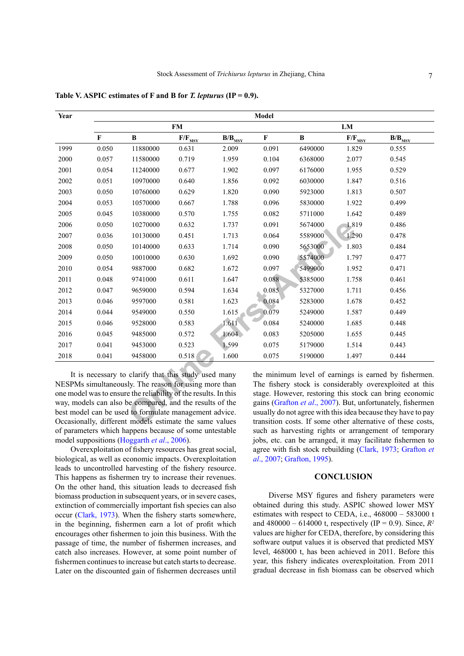| Year | Model        |                                                                                                                                                                                  |             |                                      |             |         |                                     |                                                                                                                                                                             |  |  |  |  |
|------|--------------|----------------------------------------------------------------------------------------------------------------------------------------------------------------------------------|-------------|--------------------------------------|-------------|---------|-------------------------------------|-----------------------------------------------------------------------------------------------------------------------------------------------------------------------------|--|--|--|--|
|      |              |                                                                                                                                                                                  | <b>FM</b>   |                                      | LM          |         |                                     |                                                                                                                                                                             |  |  |  |  |
|      | $\mathbf{F}$ | B                                                                                                                                                                                | $F/F_{MSY}$ | $\mathbf{B}/\mathbf{B}_{\text{MSY}}$ | $\mathbf F$ | B       | $F/F_{M\underline{S}\underline{Y}}$ | $\mathbf{B}/\mathbf{B}_{\text{MSY}}$                                                                                                                                        |  |  |  |  |
| 1999 | 0.050        | 11880000                                                                                                                                                                         | 0.631       | 2.009                                | 0.091       | 6490000 | 1.829                               | 0.555                                                                                                                                                                       |  |  |  |  |
| 2000 | 0.057        | 11580000                                                                                                                                                                         | 0.719       | 1.959                                | 0.104       | 6368000 | 2.077                               | 0.545                                                                                                                                                                       |  |  |  |  |
| 2001 | 0.054        | 11240000                                                                                                                                                                         | 0.677       | 1.902                                | 0.097       | 6176000 | 1.955                               | 0.529                                                                                                                                                                       |  |  |  |  |
| 2002 | 0.051        | 10970000                                                                                                                                                                         | 0.640       | 1.856                                | 0.092       | 6030000 | 1.847                               | 0.516                                                                                                                                                                       |  |  |  |  |
| 2003 | 0.050        | 10760000                                                                                                                                                                         | 0.629       | 1.820                                | 0.090       | 5923000 | 1.813                               | 0.507                                                                                                                                                                       |  |  |  |  |
| 2004 | 0.053        | 10570000                                                                                                                                                                         | 0.667       | 1.788                                | 0.096       | 5830000 | 1.922                               | 0.499                                                                                                                                                                       |  |  |  |  |
| 2005 | 0.045        | 10380000                                                                                                                                                                         | 0.570       | 1.755                                | 0.082       | 5711000 | 1.642                               | 0.489                                                                                                                                                                       |  |  |  |  |
| 2006 | 0.050        | 10270000                                                                                                                                                                         | 0.632       | 1.737                                | 0.091       | 5674000 | 1.819                               | 0.486                                                                                                                                                                       |  |  |  |  |
| 2007 | 0.036        | 10130000                                                                                                                                                                         | 0.451       | 1.713                                | 0.064       | 5589000 | 1.290                               | 0.478                                                                                                                                                                       |  |  |  |  |
| 2008 | 0.050        | 10140000                                                                                                                                                                         | 0.633       | 1.714                                | 0.090       | 5653000 | 1.803                               | 0.484                                                                                                                                                                       |  |  |  |  |
| 2009 | 0.050        | 10010000                                                                                                                                                                         | 0.630       | 1.692                                | 0.090       | 5574000 | 1.797                               | 0.477                                                                                                                                                                       |  |  |  |  |
| 2010 | 0.054        | 9887000                                                                                                                                                                          | 0.682       | 1.672                                | 0.097       | 5499000 | 1.952                               | 0.471                                                                                                                                                                       |  |  |  |  |
| 2011 | 0.048        | 9741000                                                                                                                                                                          | 0.611       | 1.647                                | 0.088       | 5385000 | 1.758                               | 0.461                                                                                                                                                                       |  |  |  |  |
| 2012 | 0.047        | 9659000                                                                                                                                                                          | 0.594       | 1.634                                | 0.085       | 5327000 | 1.711                               | 0.456                                                                                                                                                                       |  |  |  |  |
| 2013 | 0.046        | 9597000                                                                                                                                                                          | 0.581       | 1.623                                | 0.084       | 5283000 | 1.678                               | 0.452                                                                                                                                                                       |  |  |  |  |
| 2014 | 0.044        | 9549000                                                                                                                                                                          | 0.550       | 1.615                                | 0.079       | 5249000 | 1.587                               | 0.449                                                                                                                                                                       |  |  |  |  |
| 2015 | 0.046        | 9528000                                                                                                                                                                          | 0.583       | 1.611                                | 0.084       | 5240000 | 1.685                               | 0.448                                                                                                                                                                       |  |  |  |  |
| 2016 | 0.045        | 9485000                                                                                                                                                                          | 0.572       | 1.604                                | 0.083       | 5205000 | 1.655                               | 0.445                                                                                                                                                                       |  |  |  |  |
| 2017 | 0.041        | 9453000                                                                                                                                                                          | 0.523       | 1.599                                | 0.075       | 5179000 | 1.514                               | 0.443                                                                                                                                                                       |  |  |  |  |
| 2018 | 0.041        | 9458000                                                                                                                                                                          | 0.518       | 1.600                                | 0.075       | 5190000 | 1.497                               | 0.444                                                                                                                                                                       |  |  |  |  |
|      |              | It is necessary to clarify that this study used many<br>NESPMs simultaneously. The reason for using more than<br>one model was to ensure the reliability of the results. In this |             |                                      |             |         |                                     | the minimum level of earnings is earned by fishermen.<br>The fishery stock is considerably overexploited at this<br>stage. However, restoring this stock can bring economic |  |  |  |  |
|      |              | way, models can also be compared, and the results of the<br>best model can be used to formulate management advice.                                                               |             |                                      |             |         |                                     | gains (Grafton et al., 2007). But, unfortunately, fishermen<br>usually do not agree with this idea because they have to pay                                                 |  |  |  |  |
|      |              | Occasionally, different models estimate the same values                                                                                                                          |             |                                      |             |         |                                     | transition costs. If some other alternative of these costs,                                                                                                                 |  |  |  |  |

<span id="page-6-0"></span>**Table V. ASPIC estimates of F and B for** *T. lepturus* **(IP = 0.9).**

It is necessary to clarify that this study used many NESPMs simultaneously. The reason for using more than one model was to ensure the reliability of the results. In this way, models can also be compared, and the results of the best model can be used to formulate management advice. Occasionally, different models estimate the same values of parameters which happens because of some untestable model suppositions [\(Hoggarth](#page-7-2) *et al*., 2006).

Overexploitation of fishery resources has great social, biological, as well as economic impacts. Overexploitation leads to uncontrolled harvesting of the fishery resource. This happens as fishermen try to increase their revenues. On the other hand, this situation leads to decreased fish biomass production in subsequent years, or in severe cases, extinction of commercially important fish species can also occur ([Clark, 1973\)](#page-7-16). When the fishery starts somewhere, in the beginning, fishermen earn a lot of profit which encourages other fishermen to join this business. With the passage of time, the number of fishermen increases, and catch also increases. However, at some point number of fishermen continues to increase but catch starts to decrease. Later on the discounted gain of fishermen decreases until

the minimum level of earnings is earned by fishermen. The fishery stock is considerably overexploited at this stage. However, restoring this stock can bring economic gains (Grafton *et al*., 2007). But, unfortunately, fishermen usually do not agree with this idea because they have to pay transition costs. If some other alternative of these costs, such as harvesting rights or arrangement of temporary jobs, etc. can be arranged, it may facilitate fishermen to agree with fish stock rebuilding [\(Clark, 1973](#page-7-16); [Grafton](#page-7-17) *et al*[., 2007](#page-7-17); [Grafton, 1995](#page-7-18)).

# **CONCLUSION**

Diverse MSY figures and fishery parameters were obtained during this study. ASPIC showed lower MSY estimates with respect to CEDA, i.e., 468000 – 583000 t and  $480000 - 614000$  t, respectively (IP = 0.9). Since,  $R^2$ values are higher for CEDA, therefore, by considering this software output values it is observed that predicted MSY level, 468000 t, has been achieved in 2011. Before this year, this fishery indicates overexploitation. From 2011 gradual decrease in fish biomass can be observed which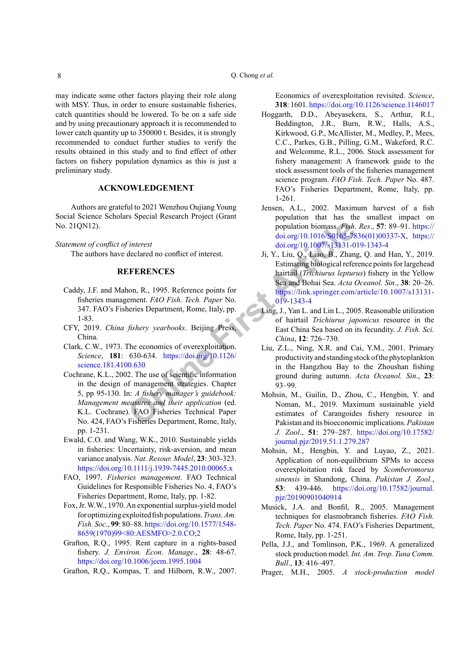may indicate some other factors playing their role along with MSY. Thus, in order to ensure sustainable fisheries, catch quantities should be lowered. To be on a safe side and by using precautionary approach it is recommended to lower catch quantity up to 350000 t. Besides, it is strongly recommended to conduct further studies to verify the results obtained in this study and to find effect of other factors on fishery population dynamics as this is just a preliminary study.

# **ACKNOWLEDGEMENT**

Authors are grateful to 2021 Wenzhou Oujiang Young Social Science Scholars Special Research Project (Grant No. 21QN12).

*Statement of conflict of interest* 

The authors have declared no conflict of interest.

# **REFERENCES**

- <span id="page-7-12"></span>Caddy, J.F. and Mahon, R., 1995. Reference points for fisheries management. *FAO Fish. Tech. Paper* No. 347. FAO's Fisheries Department, Rome, Italy, pp. 1-83.
- <span id="page-7-5"></span>CFY, 2019. *China fishery yearbooks*. Beijing Press, China.
- <span id="page-7-16"></span><span id="page-7-13"></span>Clark, C.W., 1973. The economics of overexploitation. *Science*, **181**: 630-634. https://doi.org/10.1126/ [science.181.4100.630](https://doi.org/10.1126/science.181.4100.630)
- **CONFIDENTIFY A**<br> **CONFIDENTIFY**<br> **CONFIDENTIFY**<br> **CONFIDENTIFY**<br> **CONFIDENTIFY**<br> **CONFIDENTIFY**<br> **CONFIDENTIFY**<br> **CONFIDENTIFY**<br> **CONFIDENTIFY**<br> **CONFIDENTIFY**<br> **CONFIDENTIFY**<br> **CONFIDENTIFY**<br> **CONFIDENTIFY**<br> **CONFIDENTIF** Cochrane, K.L., 2002. The use of scientific information in the design of management strategies. Chapter 5, pp 95-130. In: *A fishery manager's guidebook: Management measures and their application* (ed. K.L. Cochrane). FAO Fisheries Technical Paper No. 424, FAO's Fisheries Department, Rome, Italy, pp. 1-231.
- <span id="page-7-14"></span>Ewald, C.O. and Wang, W.K., 2010. Sustainable yields in fisheries: Uncertainty, risk-aversion, and mean variance analysis. *Nat. Resour. Model*, **23**: 303-323. <https://doi.org/10.1111/j.1939-7445.2010.00065.x>
- <span id="page-7-11"></span>FAO, 1997. *Fisheries management*. FAO Technical Guidelines for Responsible Fisheries No. 4, FAO's Fisheries Department, Rome, Italy, pp. 1-82.
- <span id="page-7-7"></span>Fox, Jr. W.W., 1970. An exponential surplus-yield model for optimizing exploited fish populations. *Trans. Am. Fish. Soc*., **99**: 80–88. [https://doi.org/10.1577/1548-](https://doi.org/10.1577/1548-8659(1970)99%3C80:AESMFO%3E2.0.CO;2) [8659\(1970\)99<80:AESMFO>2.0.CO;2](https://doi.org/10.1577/1548-8659(1970)99%3C80:AESMFO%3E2.0.CO;2)
- <span id="page-7-18"></span>Grafton, R.Q., 1995. Rent capture in a rights-based fishery. *J. Environ. Econ. Manage*., **28**: 48-67. <https://doi.org/10.1006/jeem.1995.1004>

<span id="page-7-17"></span>Grafton, R.Q., Kompas, T. and Hilborn, R.W., 2007.

Economics of overexploitation revisited. *Science*, **318**: 1601.<https://doi.org/10.1126/science.1146017>

- <span id="page-7-2"></span>Hoggarth, D.D., Abeyasekera, S., Arthur, R.I., Beddington, J.R., Burn, R.W., Halls, A.S., Kirkwood, G.P., McAllister, M., Medley, P., Mees, C.C., Parkes, G.B., Pilling, G.M., Wakeford, R.C. and Welcomme, R.L., 2006. Stock assessment for fishery management: A framework guide to the stock assessment tools of the fisheries management science program. *FAO Fish. Tech. Paper* No. 487. FAO's Fisheries Department, Rome, Italy, pp. 1-261.
- <span id="page-7-3"></span>Jensen, A.L., 2002. Maximum harvest of a fish population that has the smallest impact on population biomass. *Fish. Res*., **57**: 89–91. [https://](https://doi.org/10.1016/S0165-7836(01)00337-X) [doi.org/10.1016/S0165-7836\(01\)00337-X,](https://doi.org/10.1016/S0165-7836(01)00337-X) [https://](https://doi.org/10.1007/s13131-019-1343-4) [doi.org/10.1007/s13131-019-1343-4](https://doi.org/10.1007/s13131-019-1343-4)
- <span id="page-7-1"></span>Ji, Y., Liu, Q., Liao, B., Zhang, Q. and Han, Y., 2019. Estimating biological reference points for largehead hairtail (*Trichiurus lepturus*) fishery in the Yellow Sea and Bohai Sea. *Acta Oceanol. Sin*., **38**: 20–26. [https://link.springer.com/article/10.1007/s13131-](https://link.springer.com/article/10.1007/s13131-019-1343-4) 019-1343-4
- <span id="page-7-6"></span>Ling, J., Yan L. and Lin L., 2005. Reasonable utilization of hairtail *Trichiurus japonicus* resource in the East China Sea based on its fecundity. *J. Fish. Sci. China*, **12**: 726–730.
- <span id="page-7-0"></span>Liu, Z.L., Ning, X.R. and Cai, Y.M., 2001. Primary productivity and standing stock of the phytoplankton in the Hangzhou Bay to the Zhoushan fishing ground during autumn. *Acta Oceanol. Sin*., **23**: 93–99.
- <span id="page-7-4"></span>Mohsin, M., Guilin, D., Zhou, C., Hengbin, Y. and Noman, M., 2019. Maximum sustainable yield estimates of Carangoides fishery resource in Pakistan and its bioeconomic implications. *Pakistan J. Zool*., **51**: 279–287. [https://doi.org/10.17582/](https://doi.org/10.17582/journal.pjz/2019.51.1.279.287) [journal.pjz/2019.51.1.279.287](https://doi.org/10.17582/journal.pjz/2019.51.1.279.287)
- <span id="page-7-10"></span>Mohsin, M., Hengbin, Y. and Luyao, Z., 2021. Application of non-equilibrium SPMs to access overexploitation risk faced by *Scomberomorus sinensis* in Shandong, China. *Pakistan J. Zool.*, **53**: 439-446. [https://doi.org/10.17582/journal.](https://doi.org/10.17582/journal.pjz/20190901040914) [pjz/20190901040914](https://doi.org/10.17582/journal.pjz/20190901040914)
- <span id="page-7-15"></span>Musick, J.A. and Bonfil, R., 2005. Management techniques for elasmobranch fisheries. *FAO Fish. Tech. Paper* No. 474. FAO's Fisheries Department, Rome, Italy, pp. 1-251.
- <span id="page-7-8"></span>Pella, J.J., and Tomlinson, P.K., 1969. A generalized stock production model. *Int. Am. Trop. Tuna Comm. Bull*., **13**: 416–497.
- <span id="page-7-9"></span>Prager, M.H., 2005. *A stock-production model*